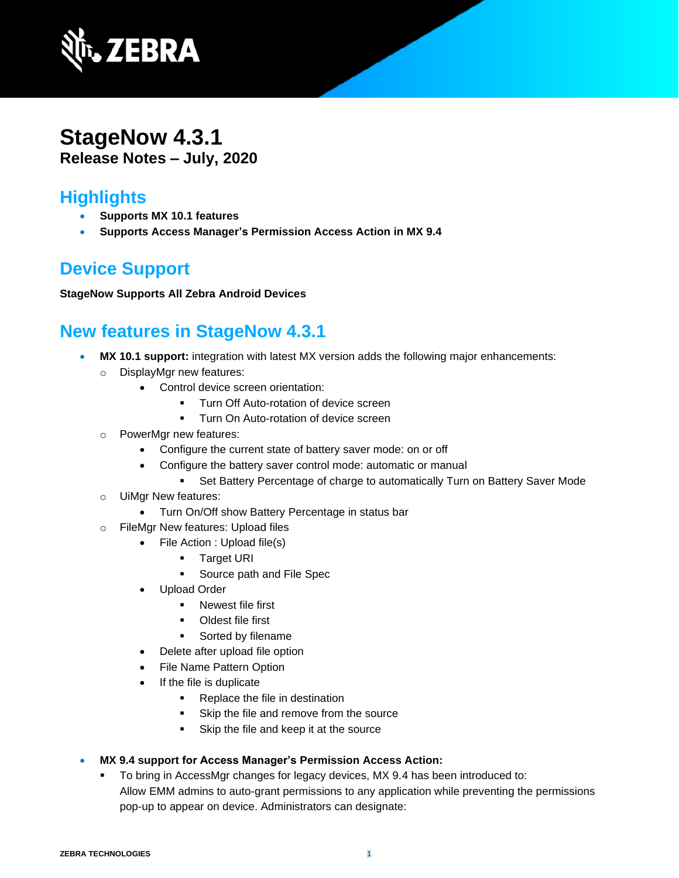

## **StageNow 4.3.1 Release Notes – July, 2020**

## **Highlights**

- **Supports MX 10.1 features**
- **Supports Access Manager's Permission Access Action in MX 9.4**

# **Device Support**

#### **StageNow Supports All Zebra Android Devices**

## **New features in StageNow 4.3.1**

- **MX 10.1 support:** integration with latest MX version adds the following major enhancements:
	- o DisplayMgr new features:
		- Control device screen orientation:
			- Turn Off Auto-rotation of device screen
			- **Turn On Auto-rotation of device screen**
	- o PowerMgr new features:
		- Configure the current state of battery saver mode: on or off
			- Configure the battery saver control mode: automatic or manual
				- Set Battery Percentage of charge to automatically Turn on Battery Saver Mode
	- o UiMgr New features:
		- Turn On/Off show Battery Percentage in status bar
	- o FileMgr New features: Upload files
		- File Action : Upload file(s)
			- Target URI
			- Source path and File Spec
		- Upload Order
			- Newest file first
			- Oldest file first
			- Sorted by filename
		- Delete after upload file option
		- File Name Pattern Option
		- If the file is duplicate
			- Replace the file in destination
			- Skip the file and remove from the source
			- Skip the file and keep it at the source
- **MX 9.4 support for Access Manager's [Permission Access Action:](https://techdocs.zebra.com/mx/accessmgr/#permission-access-action)** 
	- To bring in AccessMgr changes for legacy devices, MX 9.4 has been introduced to: Allow EMM admins to auto-grant permissions to any application while preventing the permissions pop-up to appear on device. Administrators can designate: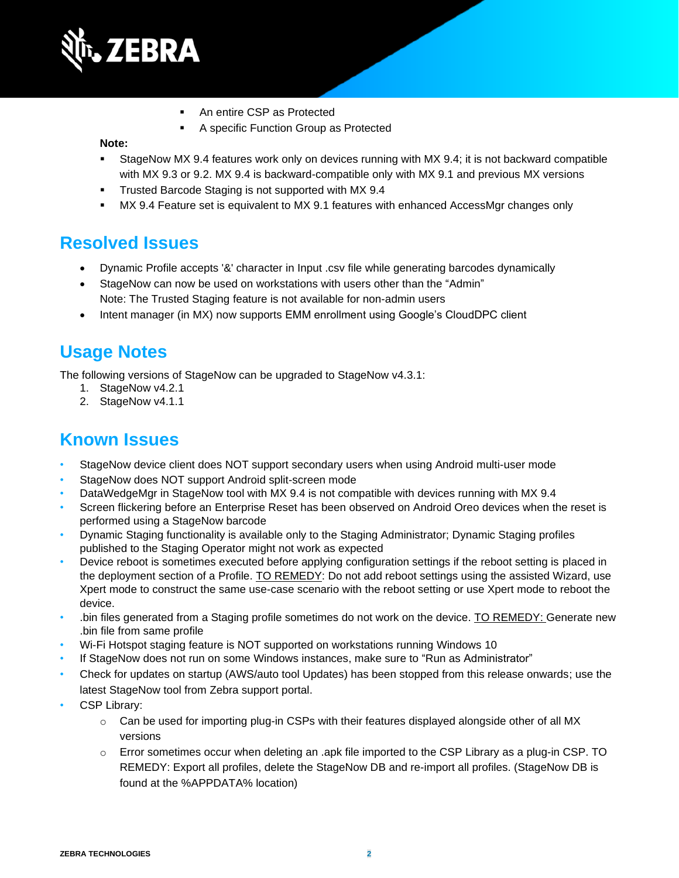

- An entire CSP as Protected
- A specific Function Group as Protected

#### **Note:**

- **EXECTS StageNow MX 9.4 features work only on devices running with MX 9.4; it is not backward compatible** with MX 9.3 or 9.2. MX 9.4 is backward-compatible only with MX 9.1 and previous MX versions
- **Trusted Barcode Staging is not supported with MX 9.4**
- **MX 9.4 Feature set is equivalent to MX 9.1 features with enhanced AccessMgr changes only**

#### **Resolved Issues**

- Dynamic Profile accepts '&' character in Input .csv file while generating barcodes dynamically
- StageNow can now be used on workstations with users other than the "Admin" Note: The Trusted Staging feature is not available for non-admin users
- Intent manager (in MX) now supports EMM enrollment using Google's CloudDPC client

#### **Usage Notes**

The following versions of StageNow can be upgraded to StageNow v4.3.1:

- 1. StageNow v4.2.1
- 2. StageNow v4.1.1

#### **Known Issues**

- StageNow device client does NOT support secondary users when using Android multi-user mode
- StageNow does NOT support Android split-screen mode
- DataWedgeMgr in StageNow tool with MX 9.4 is not compatible with devices running with MX 9.4
- Screen flickering before an Enterprise Reset has been observed on Android Oreo devices when the reset is performed using a StageNow barcode
- Dynamic Staging functionality is available only to the Staging Administrator; Dynamic Staging profiles published to the Staging Operator might not work as expected
- Device reboot is sometimes executed before applying configuration settings if the reboot setting is placed in the deployment section of a Profile. TO REMEDY: Do not add reboot settings using the assisted Wizard, use Xpert mode to construct the same use-case scenario with the reboot setting or use Xpert mode to reboot the device.
- .bin files generated from a Staging profile sometimes do not work on the device. TO REMEDY: Generate new .bin file from same profile
- Wi-Fi Hotspot staging feature is NOT supported on workstations running Windows 10
- If StageNow does not run on some Windows instances, make sure to "Run as Administrator"
- Check for updates on startup (AWS/auto tool Updates) has been stopped from this release onwards; use the latest StageNow tool from Zebra support portal.
- CSP Library:
	- $\circ$  Can be used for importing plug-in CSPs with their features displayed alongside other of all MX versions
	- $\circ$  Error sometimes occur when deleting an .apk file imported to the CSP Library as a plug-in CSP. TO REMEDY: Export all profiles, delete the StageNow DB and re-import all profiles. (StageNow DB is found at the %APPDATA% location)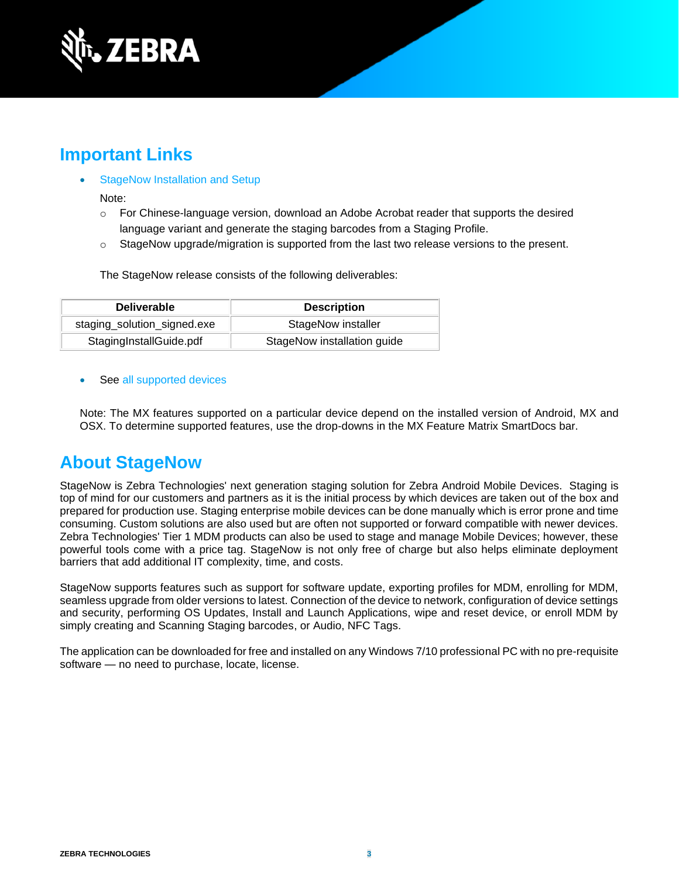

## **Important Link[s](http://techdocs.zebra.com/stagenow/)**

- [StageNow Installation and Setup](http://techdocs.zebra.com/stagenow/latest/installing/)
	- Note:
	- $\circ$  For Chinese-language version, download an Adobe Acrobat reader that supports the desired language variant and generate the staging barcodes from a Staging Profile.
	- $\circ$  StageNow upgrade/migration is supported from the last two release versions to the present.

The StageNow release consists of the following deliverables:

| <b>Deliverable</b>          | <b>Description</b>          |
|-----------------------------|-----------------------------|
| staging_solution_signed.exe | StageNow installer          |
| StagingInstallGuide.pdf     | StageNow installation guide |

See [all supported devices](http://techdocs.zebra.com/stagenow/)

Note: The MX features supported on a particular device depend on the installed version of Android, MX and OSX. To determine supported features, use the drop-downs in the [MX Feature Matrix](http://techdocs.zebra.com/mx/compatibility/) SmartDocs bar.

#### **About StageNow**

StageNow is Zebra Technologies' next generation staging solution for Zebra Android Mobile Devices. Staging is top of mind for our customers and partners as it is the initial process by which devices are taken out of the box and prepared for production use. Staging enterprise mobile devices can be done manually which is error prone and time consuming. Custom solutions are also used but are often not supported or forward compatible with newer devices. Zebra Technologies' Tier 1 MDM products can also be used to stage and manage Mobile Devices; however, these powerful tools come with a price tag. StageNow is not only free of charge but also helps eliminate deployment barriers that add additional IT complexity, time, and costs.

StageNow supports features such as support for software update, exporting profiles for MDM, enrolling for MDM, seamless upgrade from older versions to latest. Connection of the device to network, configuration of device settings and security, performing OS Updates, Install and Launch Applications, wipe and reset device, or enroll MDM by simply creating and Scanning Staging barcodes, or Audio, NFC Tags.

The application can be downloaded for free and installed on any Windows 7/10 professional PC with no pre-requisite software — no need to purchase, locate, license.